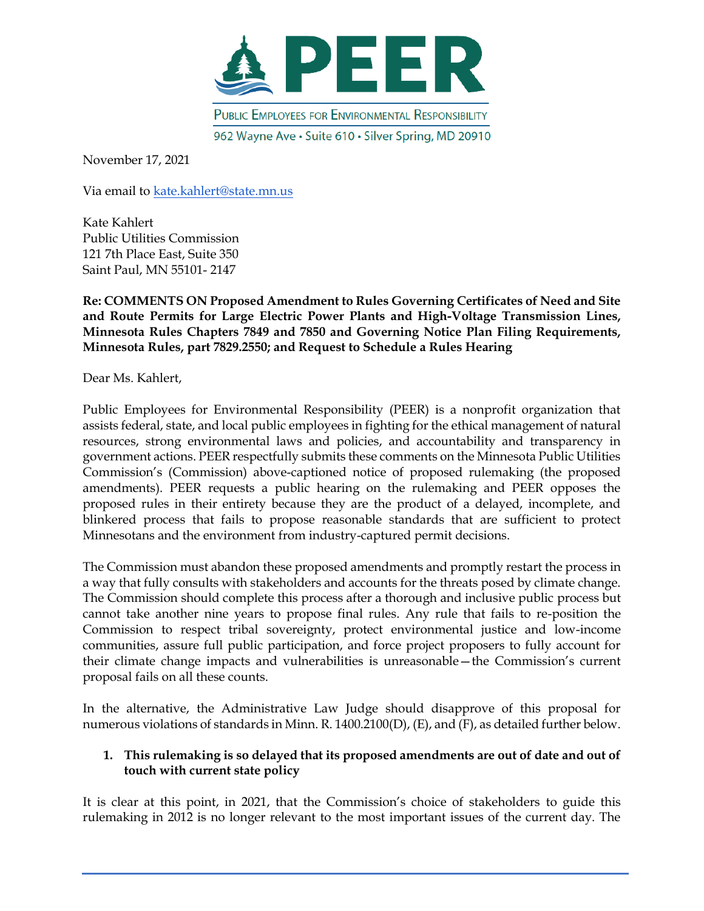

November 17, 2021

Via email to [kate.kahlert@state.mn.us](mailto:kate.kahlert@state.mn.us)

Kate Kahlert Public Utilities Commission 121 7th Place East, Suite 350 Saint Paul, MN 55101- 2147

**Re: COMMENTS ON Proposed Amendment to Rules Governing Certificates of Need and Site and Route Permits for Large Electric Power Plants and High-Voltage Transmission Lines, Minnesota Rules Chapters 7849 and 7850 and Governing Notice Plan Filing Requirements, Minnesota Rules, part 7829.2550; and Request to Schedule a Rules Hearing**

Dear Ms. Kahlert,

Public Employees for Environmental Responsibility (PEER) is a nonprofit organization that assists federal, state, and local public employees in fighting for the ethical management of natural resources, strong environmental laws and policies, and accountability and transparency in government actions. PEER respectfully submits these comments on the Minnesota Public Utilities Commission's (Commission) above-captioned notice of proposed rulemaking (the proposed amendments). PEER requests a public hearing on the rulemaking and PEER opposes the proposed rules in their entirety because they are the product of a delayed, incomplete, and blinkered process that fails to propose reasonable standards that are sufficient to protect Minnesotans and the environment from industry-captured permit decisions.

The Commission must abandon these proposed amendments and promptly restart the process in a way that fully consults with stakeholders and accounts for the threats posed by climate change. The Commission should complete this process after a thorough and inclusive public process but cannot take another nine years to propose final rules. Any rule that fails to re-position the Commission to respect tribal sovereignty, protect environmental justice and low-income communities, assure full public participation, and force project proposers to fully account for their climate change impacts and vulnerabilities is unreasonable—the Commission's current proposal fails on all these counts.

In the alternative, the Administrative Law Judge should disapprove of this proposal for numerous violations of standards in Minn. R. 1400.2100(D), (E), and (F), as detailed further below.

#### **1. This rulemaking is so delayed that its proposed amendments are out of date and out of touch with current state policy**

It is clear at this point, in 2021, that the Commission's choice of stakeholders to guide this rulemaking in 2012 is no longer relevant to the most important issues of the current day. The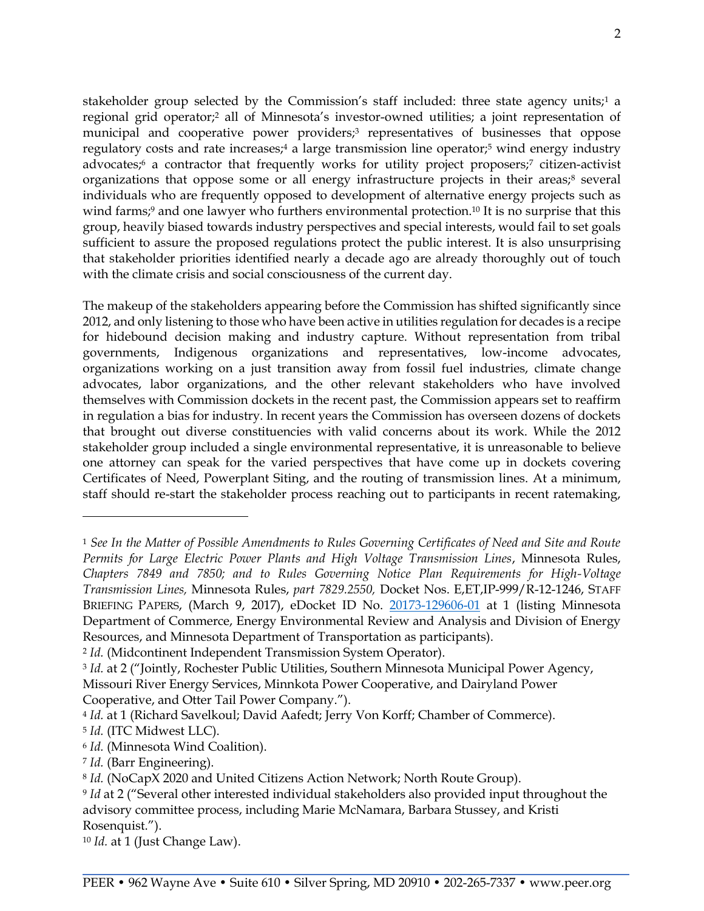stakeholder group selected by the Commission's staff included: three state agency units;<sup>1</sup> a regional grid operator;<sup>2</sup> all of Minnesota's investor-owned utilities; a joint representation of municipal and cooperative power providers;<sup>3</sup> representatives of businesses that oppose regulatory costs and rate increases;<sup>4</sup> a large transmission line operator;<sup>5</sup> wind energy industry advocates;<sup>6</sup> a contractor that frequently works for utility project proposers;<sup>7</sup> citizen-activist organizations that oppose some or all energy infrastructure projects in their areas;<sup>8</sup> several individuals who are frequently opposed to development of alternative energy projects such as wind farms;<sup>9</sup> and one lawyer who furthers environmental protection.<sup>10</sup> It is no surprise that this group, heavily biased towards industry perspectives and special interests, would fail to set goals sufficient to assure the proposed regulations protect the public interest. It is also unsurprising that stakeholder priorities identified nearly a decade ago are already thoroughly out of touch with the climate crisis and social consciousness of the current day.

The makeup of the stakeholders appearing before the Commission has shifted significantly since 2012, and only listening to those who have been active in utilities regulation for decades is a recipe for hidebound decision making and industry capture. Without representation from tribal governments, Indigenous organizations and representatives, low-income advocates, organizations working on a just transition away from fossil fuel industries, climate change advocates, labor organizations, and the other relevant stakeholders who have involved themselves with Commission dockets in the recent past, the Commission appears set to reaffirm in regulation a bias for industry. In recent years the Commission has overseen dozens of dockets that brought out diverse constituencies with valid concerns about its work. While the 2012 stakeholder group included a single environmental representative, it is unreasonable to believe one attorney can speak for the varied perspectives that have come up in dockets covering Certificates of Need, Powerplant Siting, and the routing of transmission lines. At a minimum, staff should re-start the stakeholder process reaching out to participants in recent ratemaking,

<sup>1</sup> *See In the Matter of Possible Amendments to Rules Governing Certificates of Need and Site and Route Permits for Large Electric Power Plants and High Voltage Transmission Lines*, Minnesota Rules, *Chapters 7849 and 7850; and to Rules Governing Notice Plan Requirements for High-Voltage Transmission Lines,* Minnesota Rules, *part 7829.2550,* Docket Nos. E,ET,IP-999/R-12-1246, STAFF BRIEFING PAPERS, (March 9, 2017), eDocket ID No. [20173-129606-01](https://www.edockets.state.mn.us/EFiling/edockets/searchDocuments.do?method=showPoup&documentId=%7b81661914-5B13-4BA6-BB0C-3BB0D9CCDFB7%7d&documentTitle=20173-129606-01) at 1 (listing Minnesota Department of Commerce, Energy Environmental Review and Analysis and Division of Energy Resources, and Minnesota Department of Transportation as participants).

<sup>2</sup> *Id.* (Midcontinent Independent Transmission System Operator).

<sup>3</sup> *Id.* at 2 ("Jointly, Rochester Public Utilities, Southern Minnesota Municipal Power Agency, Missouri River Energy Services, Minnkota Power Cooperative, and Dairyland Power Cooperative, and Otter Tail Power Company.").

<sup>4</sup> *Id.* at 1 (Richard Savelkoul; David Aafedt; Jerry Von Korff; Chamber of Commerce).

<sup>5</sup> *Id.* (ITC Midwest LLC).

<sup>6</sup> *Id.* (Minnesota Wind Coalition).

<sup>7</sup> *Id.* (Barr Engineering).

<sup>8</sup> *Id.* (NoCapX 2020 and United Citizens Action Network; North Route Group).

<sup>9</sup> *Id* at 2 ("Several other interested individual stakeholders also provided input throughout the advisory committee process, including Marie McNamara, Barbara Stussey, and Kristi Rosenquist.").

<sup>10</sup> *Id.* at 1 (Just Change Law).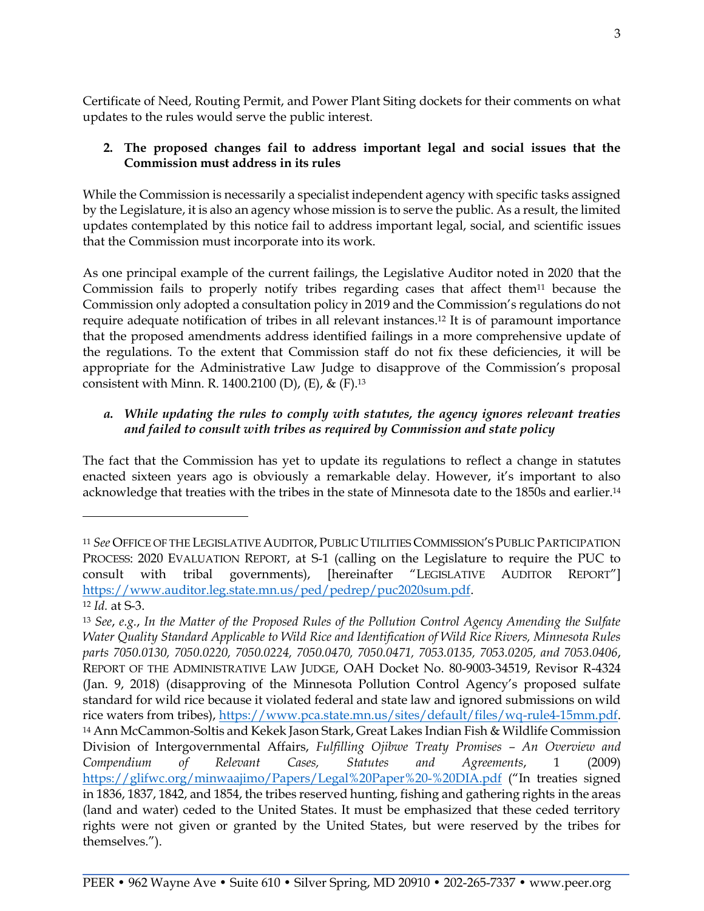Certificate of Need, Routing Permit, and Power Plant Siting dockets for their comments on what updates to the rules would serve the public interest.

### **2. The proposed changes fail to address important legal and social issues that the Commission must address in its rules**

While the Commission is necessarily a specialist independent agency with specific tasks assigned by the Legislature, it is also an agency whose mission is to serve the public. As a result, the limited updates contemplated by this notice fail to address important legal, social, and scientific issues that the Commission must incorporate into its work.

As one principal example of the current failings, the Legislative Auditor noted in 2020 that the Commission fails to properly notify tribes regarding cases that affect them<sup>11</sup> because the Commission only adopted a consultation policy in 2019 and the Commission's regulations do not require adequate notification of tribes in all relevant instances.<sup>12</sup> It is of paramount importance that the proposed amendments address identified failings in a more comprehensive update of the regulations. To the extent that Commission staff do not fix these deficiencies, it will be appropriate for the Administrative Law Judge to disapprove of the Commission's proposal consistent with Minn. R. 1400.2100 (D), (E), & (F).<sup>13</sup>

# *a. While updating the rules to comply with statutes, the agency ignores relevant treaties and failed to consult with tribes as required by Commission and state policy*

The fact that the Commission has yet to update its regulations to reflect a change in statutes enacted sixteen years ago is obviously a remarkable delay. However, it's important to also acknowledge that treaties with the tribes in the state of Minnesota date to the 1850s and earlier. 14

<sup>11</sup> *See* OFFICE OF THE LEGISLATIVE AUDITOR, PUBLIC UTILITIES COMMISSION'S PUBLIC PARTICIPATION PROCESS: 2020 EVALUATION REPORT, at S-1 (calling on the Legislature to require the PUC to consult with tribal governments), [hereinafter "LEGISLATIVE AUDITOR REPORT"] [https://www.auditor.leg.state.mn.us/ped/pedrep/puc2020sum.pdf.](https://www.auditor.leg.state.mn.us/ped/pedrep/puc2020sum.pdf) <sup>12</sup> *Id.* at S-3.

<sup>13</sup> *See*, *e.g.*, *In the Matter of the Proposed Rules of the Pollution Control Agency Amending the Sulfate Water Quality Standard Applicable to Wild Rice and Identification of Wild Rice Rivers, Minnesota Rules parts 7050.0130, 7050.0220, 7050.0224, 7050.0470, 7050.0471, 7053.0135, 7053.0205, and 7053.0406*, REPORT OF THE ADMINISTRATIVE LAW JUDGE, OAH Docket No. 80-9003-34519, Revisor R-4324 (Jan. 9, 2018) (disapproving of the Minnesota Pollution Control Agency's proposed sulfate standard for wild rice because it violated federal and state law and ignored submissions on wild rice waters from tribes), [https://www.pca.state.mn.us/sites/default/files/wq-rule4-15mm.pdf.](https://www.pca.state.mn.us/sites/default/files/wq-rule4-15mm.pdf) <sup>14</sup> Ann McCammon-Soltis and Kekek Jason Stark, Great Lakes Indian Fish & Wildlife Commission Division of Intergovernmental Affairs, *Fulfilling Ojibwe Treaty Promises – An Overview and Compendium of Relevant Cases, Statutes and Agreements*, 1 (2009) <https://glifwc.org/minwaajimo/Papers/Legal%20Paper%20-%20DIA.pdf> ("In treaties signed in 1836, 1837, 1842, and 1854, the tribes reserved hunting, fishing and gathering rights in the areas (land and water) ceded to the United States. It must be emphasized that these ceded territory rights were not given or granted by the United States, but were reserved by the tribes for themselves.").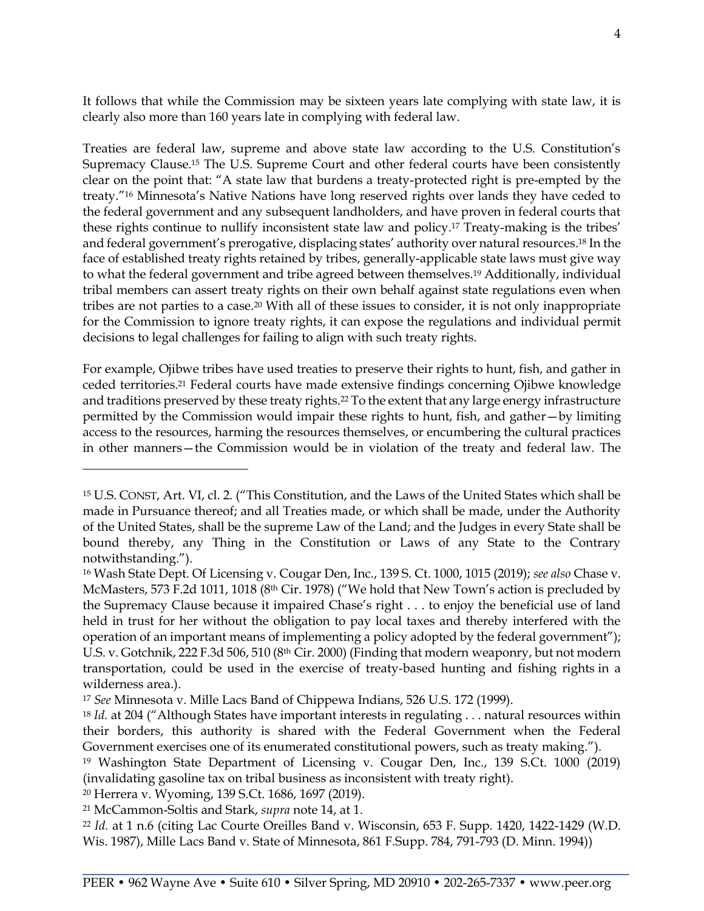It follows that while the Commission may be sixteen years late complying with state law, it is clearly also more than 160 years late in complying with federal law.

Treaties are federal law, supreme and above state law according to the U.S. Constitution's Supremacy Clause.<sup>15</sup> The U.S. Supreme Court and other federal courts have been consistently clear on the point that: "A state law that burdens a treaty-protected right is pre-empted by the treaty."<sup>16</sup> Minnesota's Native Nations have long reserved rights over lands they have ceded to the federal government and any subsequent landholders, and have proven in federal courts that these rights continue to nullify inconsistent state law and policy.<sup>17</sup> Treaty-making is the tribes' and federal government's prerogative, displacing states' authority over natural resources.<sup>18</sup> In the face of established treaty rights retained by tribes, generally-applicable state laws must give way to what the federal government and tribe agreed between themselves.<sup>19</sup> Additionally, individual tribal members can assert treaty rights on their own behalf against state regulations even when tribes are not parties to a case.<sup>20</sup> With all of these issues to consider, it is not only inappropriate for the Commission to ignore treaty rights, it can expose the regulations and individual permit decisions to legal challenges for failing to align with such treaty rights.

For example, Ojibwe tribes have used treaties to preserve their rights to hunt, fish, and gather in ceded territories.<sup>21</sup> Federal courts have made extensive findings concerning Ojibwe knowledge and traditions preserved by these treaty rights.<sup>22</sup> To the extent that any large energy infrastructure permitted by the Commission would impair these rights to hunt, fish, and gather—by limiting access to the resources, harming the resources themselves, or encumbering the cultural practices in other manners—the Commission would be in violation of the treaty and federal law. The

<sup>15</sup> U.S. CONST, Art. VI, cl. 2. ("This Constitution, and the Laws of the United States which shall be made in Pursuance thereof; and all Treaties made, or which shall be made, under the Authority of the United States, shall be the supreme Law of the Land; and the Judges in every State shall be bound thereby, any Thing in the Constitution or Laws of any State to the Contrary notwithstanding.").

<sup>16</sup> Wash State Dept. Of Licensing v. Cougar Den, Inc., 139 S. Ct. 1000, 1015 (2019); *see also* Chase v. McMasters, 573 F.2d 1011, 1018 (8<sup>th</sup> Cir. 1978) ("We hold that New Town's action is precluded by the Supremacy Clause because it impaired Chase's right . . . to enjoy the beneficial use of land held in trust for her without the obligation to pay local taxes and thereby interfered with the operation of an important means of implementing a policy adopted by the federal government"); U.S. v. Gotchnik, 222 F.3d 506, 510 (8th Cir. 2000) (Finding that modern weaponry, but not modern transportation, could be used in the exercise of treaty-based hunting and fishing rights in a wilderness area.).

<sup>17</sup> *See* Minnesota v. Mille Lacs Band of Chippewa Indians, 526 U.S. 172 (1999).

<sup>18</sup> *Id.* at 204 ("Although States have important interests in regulating . . . natural resources within their borders, this authority is shared with the Federal Government when the Federal Government exercises one of its enumerated constitutional powers, such as treaty making.").

<sup>19</sup> Washington State Department of Licensing v. Cougar Den, Inc., 139 S.Ct. 1000 (2019) (invalidating gasoline tax on tribal business as inconsistent with treaty right).

<sup>20</sup> Herrera v. Wyoming, 139 S.Ct. 1686, 1697 (2019).

<sup>21</sup> McCammon-Soltis and Stark, *supra* note 14, at 1.

<sup>22</sup> *Id.* at 1 n.6 (citing Lac Courte Oreilles Band v. Wisconsin, 653 F. Supp. 1420, 1422-1429 (W.D. Wis. 1987), Mille Lacs Band v. State of Minnesota, 861 F.Supp. 784, 791-793 (D. Minn. 1994))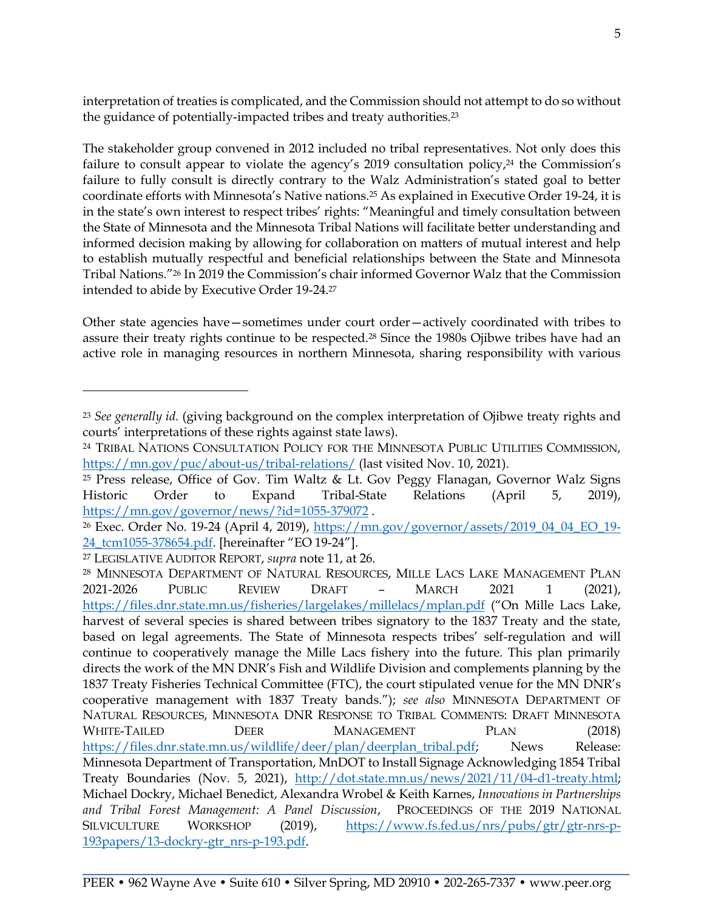interpretation of treaties is complicated, and the Commission should not attempt to do so without the guidance of potentially-impacted tribes and treaty authorities.<sup>23</sup>

The stakeholder group convened in 2012 included no tribal representatives. Not only does this failure to consult appear to violate the agency's 2019 consultation policy,<sup>24</sup> the Commission's failure to fully consult is directly contrary to the Walz Administration's stated goal to better coordinate efforts with Minnesota's Native nations.<sup>25</sup> As explained in Executive Order 19-24, it is in the state's own interest to respect tribes' rights: "Meaningful and timely consultation between the State of Minnesota and the Minnesota Tribal Nations will facilitate better understanding and informed decision making by allowing for collaboration on matters of mutual interest and help to establish mutually respectful and beneficial relationships between the State and Minnesota Tribal Nations."<sup>26</sup> In 2019 the Commission's chair informed Governor Walz that the Commission intended to abide by Executive Order 19-24.<sup>27</sup>

Other state agencies have—sometimes under court order—actively coordinated with tribes to assure their treaty rights continue to be respected.<sup>28</sup> Since the 1980s Ojibwe tribes have had an active role in managing resources in northern Minnesota, sharing responsibility with various

<sup>23</sup> *See generally id.* (giving background on the complex interpretation of Ojibwe treaty rights and courts' interpretations of these rights against state laws).

<sup>24</sup> TRIBAL NATIONS CONSULTATION POLICY FOR THE MINNESOTA PUBLIC UTILITIES COMMISSION, https://mn.gov/puc/about-us/tribal-relations/ (last visited Nov. 10, 2021).

<sup>25</sup> Press release, Office of Gov. Tim Waltz & Lt. Gov Peggy Flanagan, Governor Walz Signs Historic Order to Expand Tribal-State Relations (April 5, 2019), <https://mn.gov/governor/news/?id=1055-379072> .

<sup>26</sup> Exec. Order No. 19-24 (April 4, 2019), https://mn.gov/governor/assets/2019\_04\_04\_EO\_19- 24\_tcm1055-378654.pdf. [hereinafter "EO 19-24"].

<sup>27</sup> LEGISLATIVE AUDITOR REPORT, *supra* note 11, at 26.

<sup>28</sup> MINNESOTA DEPARTMENT OF NATURAL RESOURCES, MILLE LACS LAKE MANAGEMENT PLAN 2021-2026 PUBLIC REVIEW DRAFT – MARCH 2021 1 (2021), <https://files.dnr.state.mn.us/fisheries/largelakes/millelacs/mplan.pdf> ("On Mille Lacs Lake, harvest of several species is shared between tribes signatory to the 1837 Treaty and the state, based on legal agreements. The State of Minnesota respects tribes' self-regulation and will continue to cooperatively manage the Mille Lacs fishery into the future. This plan primarily directs the work of the MN DNR's Fish and Wildlife Division and complements planning by the 1837 Treaty Fisheries Technical Committee (FTC), the court stipulated venue for the MN DNR's cooperative management with 1837 Treaty bands."); *see also* MINNESOTA DEPARTMENT OF NATURAL RESOURCES, MINNESOTA DNR RESPONSE TO TRIBAL COMMENTS: DRAFT MINNESOTA WHITE-TAILED DEER MANAGEMENT PLAN (2018) https://files.dnr.state.mn.us/wildlife/deer/plan/deerplan\_tribal.pdf; News Release: Minnesota Department of Transportation, MnDOT to Install Signage Acknowledging 1854 Tribal Treaty Boundaries (Nov. 5, 2021), [http://dot.state.mn.us/news/2021/11/04-d1-treaty.html;](http://dot.state.mn.us/news/2021/11/04-d1-treaty.html) Michael Dockry, Michael Benedict, Alexandra Wrobel & Keith Karnes, *Innovations in Partnerships and Tribal Forest Management: A Panel Discussion*, PROCEEDINGS OF THE 2019 NATIONAL SILVICULTURE WORKSHOP (2019), [https://www.fs.fed.us/nrs/pubs/gtr/gtr-nrs-p-](https://www.fs.fed.us/nrs/pubs/gtr/gtr-nrs-p-193papers/13-dockry-gtr_nrs-p-193.pdf.)[193papers/13-dockry-gtr\\_nrs-p-193.pdf.](https://www.fs.fed.us/nrs/pubs/gtr/gtr-nrs-p-193papers/13-dockry-gtr_nrs-p-193.pdf.)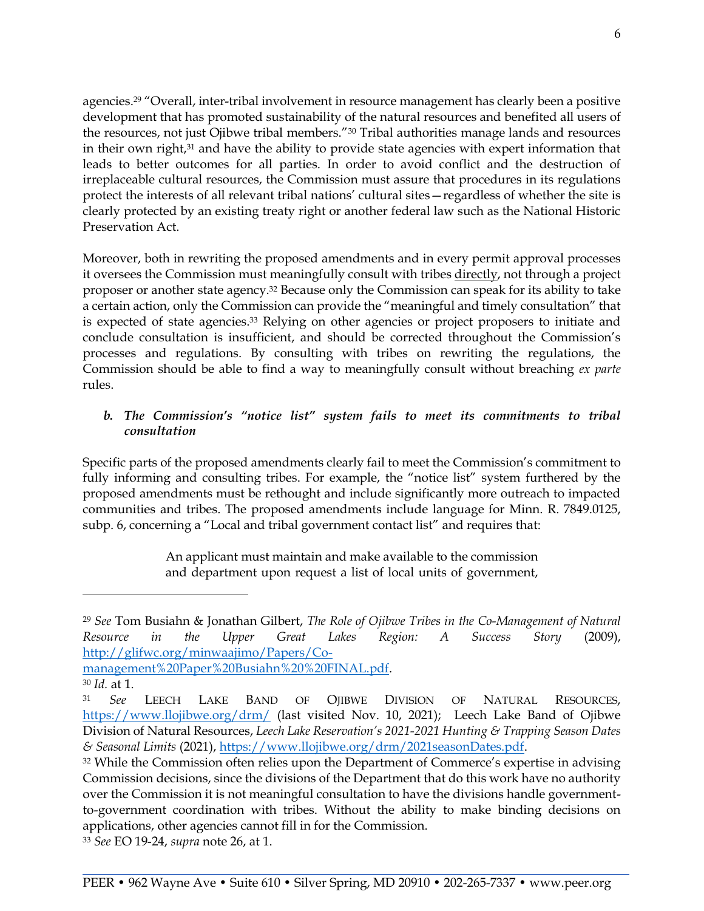agencies.<sup>29</sup> "Overall, inter-tribal involvement in resource management has clearly been a positive development that has promoted sustainability of the natural resources and benefited all users of the resources, not just Ojibwe tribal members."<sup>30</sup> Tribal authorities manage lands and resources in their own right,<sup>31</sup> and have the ability to provide state agencies with expert information that leads to better outcomes for all parties. In order to avoid conflict and the destruction of irreplaceable cultural resources, the Commission must assure that procedures in its regulations protect the interests of all relevant tribal nations' cultural sites—regardless of whether the site is clearly protected by an existing treaty right or another federal law such as the National Historic Preservation Act.

Moreover, both in rewriting the proposed amendments and in every permit approval processes it oversees the Commission must meaningfully consult with tribes directly, not through a project proposer or another state agency.<sup>32</sup> Because only the Commission can speak for its ability to take a certain action, only the Commission can provide the "meaningful and timely consultation" that is expected of state agencies.<sup>33</sup> Relying on other agencies or project proposers to initiate and conclude consultation is insufficient, and should be corrected throughout the Commission's processes and regulations. By consulting with tribes on rewriting the regulations, the Commission should be able to find a way to meaningfully consult without breaching *ex parte* rules.

# *b. The Commission's "notice list" system fails to meet its commitments to tribal consultation*

Specific parts of the proposed amendments clearly fail to meet the Commission's commitment to fully informing and consulting tribes. For example, the "notice list" system furthered by the proposed amendments must be rethought and include significantly more outreach to impacted communities and tribes. The proposed amendments include language for Minn. R. 7849.0125, subp. 6, concerning a "Local and tribal government contact list" and requires that:

> An applicant must maintain and make available to the commission and department upon request a list of local units of government,

<sup>29</sup> *See* Tom Busiahn & Jonathan Gilbert, *The Role of Ojibwe Tribes in the Co-Management of Natural Resource in the Upper Great Lakes Region: A Success Story* (2009), [http://glifwc.org/minwaajimo/Papers/Co-](http://glifwc.org/minwaajimo/Papers/Co-management%20Paper%20Busiahn%20%20FINAL.pdf)

[management%20Paper%20Busiahn%20%20FINAL.pdf.](http://glifwc.org/minwaajimo/Papers/Co-management%20Paper%20Busiahn%20%20FINAL.pdf)

<sup>30</sup> *Id.* at 1.

<sup>31</sup> *See* LEECH LAKE BAND OF OJIBWE DIVISION OF NATURAL RESOURCES, <https://www.llojibwe.org/drm/> (last visited Nov. 10, 2021); Leech Lake Band of Ojibwe Division of Natural Resources, *Leech Lake Reservation's 2021-2021 Hunting & Trapping Season Dates & Seasonal Limits* (2021), [https://www.llojibwe.org/drm/2021seasonDates.pdf.](https://www.llojibwe.org/drm/2021seasonDates.pdf)

<sup>&</sup>lt;sup>32</sup> While the Commission often relies upon the Department of Commerce's expertise in advising Commission decisions, since the divisions of the Department that do this work have no authority over the Commission it is not meaningful consultation to have the divisions handle governmentto-government coordination with tribes. Without the ability to make binding decisions on applications, other agencies cannot fill in for the Commission.

<sup>33</sup> *See* EO 19-24, *supra* note 26, at 1.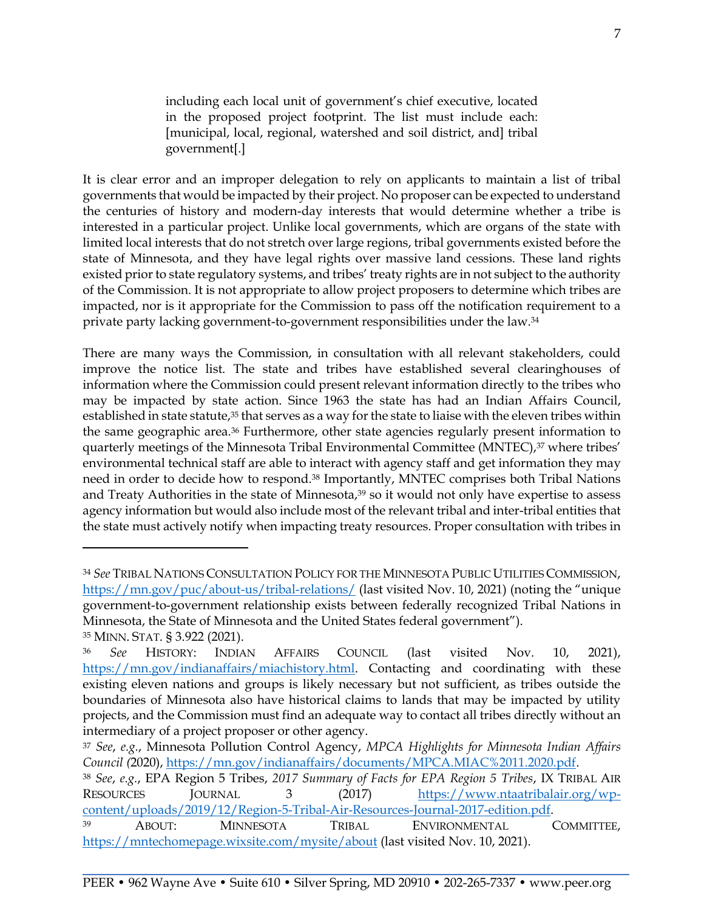including each local unit of government's chief executive, located in the proposed project footprint. The list must include each: [municipal, local, regional, watershed and soil district, and] tribal government[.]

It is clear error and an improper delegation to rely on applicants to maintain a list of tribal governments that would be impacted by their project. No proposer can be expected to understand the centuries of history and modern-day interests that would determine whether a tribe is interested in a particular project. Unlike local governments, which are organs of the state with limited local interests that do not stretch over large regions, tribal governments existed before the state of Minnesota, and they have legal rights over massive land cessions. These land rights existed prior to state regulatory systems, and tribes' treaty rights are in not subject to the authority of the Commission. It is not appropriate to allow project proposers to determine which tribes are impacted, nor is it appropriate for the Commission to pass off the notification requirement to a private party lacking government-to-government responsibilities under the law.<sup>34</sup>

There are many ways the Commission, in consultation with all relevant stakeholders, could improve the notice list. The state and tribes have established several clearinghouses of information where the Commission could present relevant information directly to the tribes who may be impacted by state action. Since 1963 the state has had an Indian Affairs Council, established in state statute,<sup>35</sup> that serves as a way for the state to liaise with the eleven tribes within the same geographic area.<sup>36</sup> Furthermore, other state agencies regularly present information to quarterly meetings of the Minnesota Tribal Environmental Committee (MNTEC),<sup>37</sup> where tribes' environmental technical staff are able to interact with agency staff and get information they may need in order to decide how to respond.<sup>38</sup> Importantly, MNTEC comprises both Tribal Nations and Treaty Authorities in the state of Minnesota,<sup>39</sup> so it would not only have expertise to assess agency information but would also include most of the relevant tribal and inter-tribal entities that the state must actively notify when impacting treaty resources. Proper consultation with tribes in

<sup>34</sup> *See* TRIBAL NATIONS CONSULTATION POLICY FOR THE MINNESOTA PUBLIC UTILITIES COMMISSION, <https://mn.gov/puc/about-us/tribal-relations/> (last visited Nov. 10, 2021) (noting the "unique government-to-government relationship exists between federally recognized Tribal Nations in Minnesota, the State of Minnesota and the United States federal government"). <sup>35</sup> MINN. STAT. § 3.922 (2021).

<sup>36</sup> *See* HISTORY: INDIAN AFFAIRS COUNCIL (last visited Nov. 10, 2021), https://mn.gov/indianaffairs/miachistory.html. Contacting and coordinating with these existing eleven nations and groups is likely necessary but not sufficient, as tribes outside the boundaries of Minnesota also have historical claims to lands that may be impacted by utility projects, and the Commission must find an adequate way to contact all tribes directly without an intermediary of a project proposer or other agency.

<sup>37</sup> *See*, *e.g.*, Minnesota Pollution Control Agency, *MPCA Highlights for Minnesota Indian Affairs Council (*2020), [https://mn.gov/indianaffairs/documents/MPCA.MIAC%2011.2020.pdf.](https://mn.gov/indianaffairs/documents/MPCA.MIAC%2011.2020.pdf)

<sup>38</sup> *See*, *e.g.*, EPA Region 5 Tribes, *2017 Summary of Facts for EPA Region 5 Tribes*, IX TRIBAL AIR RESOURCES JOURNAL 3 (2017) [https://www.ntaatribalair.org/wp](https://www.ntaatribalair.org/wp-content/uploads/2019/12/Region-5-Tribal-Air-Resources-Journal-2017-edition.pdf)[content/uploads/2019/12/Region-5-Tribal-Air-Resources-Journal-2017-edition.pdf.](https://www.ntaatribalair.org/wp-content/uploads/2019/12/Region-5-Tribal-Air-Resources-Journal-2017-edition.pdf) <sup>39</sup> ABOUT: MINNESOTA TRIBAL ENVIRONMENTAL COMMITTEE, https://mntechomepage.wixsite.com/mysite/about (last visited Nov. 10, 2021).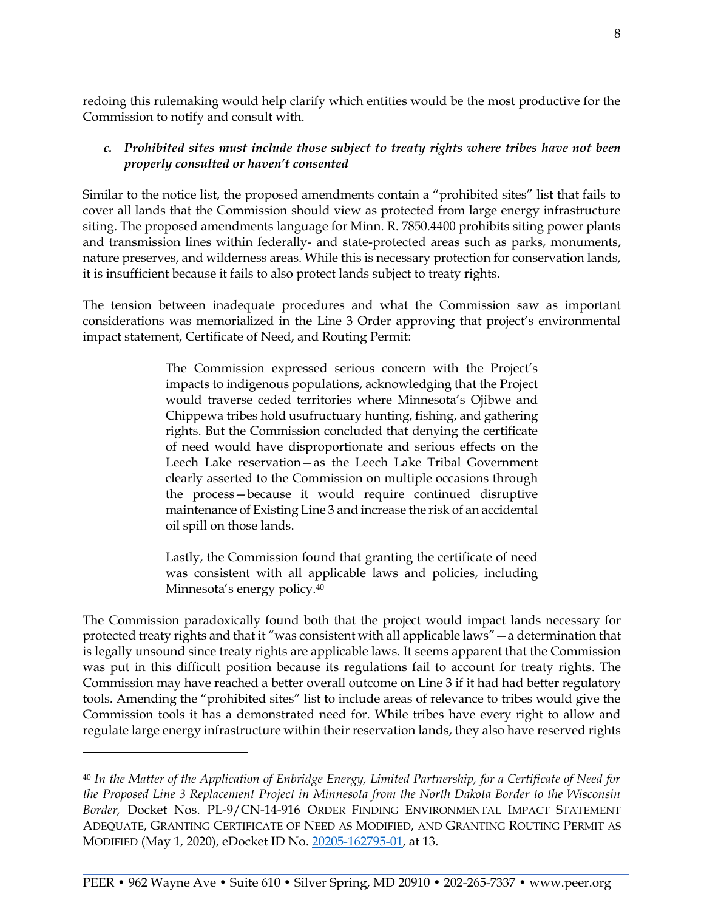redoing this rulemaking would help clarify which entities would be the most productive for the Commission to notify and consult with.

#### *c. Prohibited sites must include those subject to treaty rights where tribes have not been properly consulted or haven't consented*

Similar to the notice list, the proposed amendments contain a "prohibited sites" list that fails to cover all lands that the Commission should view as protected from large energy infrastructure siting. The proposed amendments language for Minn. R. 7850.4400 prohibits siting power plants and transmission lines within federally- and state-protected areas such as parks, monuments, nature preserves, and wilderness areas. While this is necessary protection for conservation lands, it is insufficient because it fails to also protect lands subject to treaty rights.

The tension between inadequate procedures and what the Commission saw as important considerations was memorialized in the Line 3 Order approving that project's environmental impact statement, Certificate of Need, and Routing Permit:

> The Commission expressed serious concern with the Project's impacts to indigenous populations, acknowledging that the Project would traverse ceded territories where Minnesota's Ojibwe and Chippewa tribes hold usufructuary hunting, fishing, and gathering rights. But the Commission concluded that denying the certificate of need would have disproportionate and serious effects on the Leech Lake reservation—as the Leech Lake Tribal Government clearly asserted to the Commission on multiple occasions through the process—because it would require continued disruptive maintenance of Existing Line 3 and increase the risk of an accidental oil spill on those lands.

> Lastly, the Commission found that granting the certificate of need was consistent with all applicable laws and policies, including Minnesota's energy policy.<sup>40</sup>

The Commission paradoxically found both that the project would impact lands necessary for protected treaty rights and that it "was consistent with all applicable laws"—a determination that is legally unsound since treaty rights are applicable laws. It seems apparent that the Commission was put in this difficult position because its regulations fail to account for treaty rights. The Commission may have reached a better overall outcome on Line 3 if it had had better regulatory tools. Amending the "prohibited sites" list to include areas of relevance to tribes would give the Commission tools it has a demonstrated need for. While tribes have every right to allow and regulate large energy infrastructure within their reservation lands, they also have reserved rights

<sup>40</sup> *In the Matter of the Application of Enbridge Energy, Limited Partnership, for a Certificate of Need for the Proposed Line 3 Replacement Project in Minnesota from the North Dakota Border to the Wisconsin Border,* Docket Nos. PL-9/CN-14-916 ORDER FINDING ENVIRONMENTAL IMPACT STATEMENT ADEQUATE, GRANTING CERTIFICATE OF NEED AS MODIFIED, AND GRANTING ROUTING PERMIT AS MODIFIED (May 1, 2020), eDocket ID No. [20205-162795-01,](https://www.edockets.state.mn.us/EFiling/edockets/searchDocuments.do?method=showPoup&documentId=%7bC0B1D171-0000-C511-9FC0-0F91750A9C30%7d&documentTitle=20205-162795-01) at 13.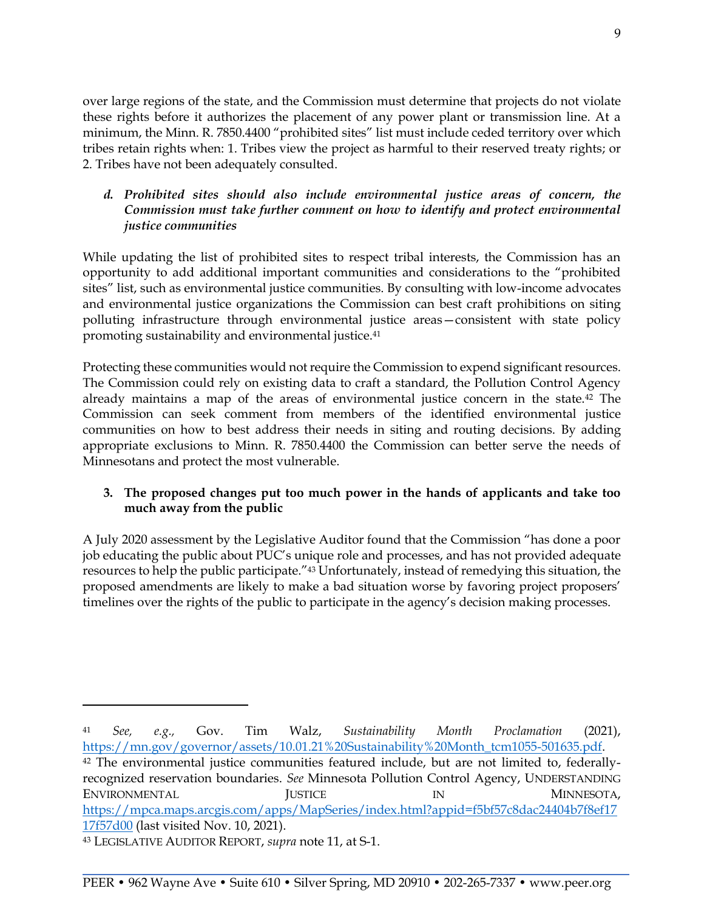over large regions of the state, and the Commission must determine that projects do not violate these rights before it authorizes the placement of any power plant or transmission line. At a minimum, the Minn. R. 7850.4400 "prohibited sites" list must include ceded territory over which tribes retain rights when: 1. Tribes view the project as harmful to their reserved treaty rights; or 2. Tribes have not been adequately consulted.

### *d. Prohibited sites should also include environmental justice areas of concern, the Commission must take further comment on how to identify and protect environmental justice communities*

While updating the list of prohibited sites to respect tribal interests, the Commission has an opportunity to add additional important communities and considerations to the "prohibited sites" list, such as environmental justice communities. By consulting with low-income advocates and environmental justice organizations the Commission can best craft prohibitions on siting polluting infrastructure through environmental justice areas—consistent with state policy promoting sustainability and environmental justice.<sup>41</sup>

Protecting these communities would not require the Commission to expend significant resources. The Commission could rely on existing data to craft a standard, the Pollution Control Agency already maintains a map of the areas of environmental justice concern in the state.<sup>42</sup> The Commission can seek comment from members of the identified environmental justice communities on how to best address their needs in siting and routing decisions. By adding appropriate exclusions to Minn. R. 7850.4400 the Commission can better serve the needs of Minnesotans and protect the most vulnerable.

# **3. The proposed changes put too much power in the hands of applicants and take too much away from the public**

A July 2020 assessment by the Legislative Auditor found that the Commission "has done a poor job educating the public about PUC's unique role and processes, and has not provided adequate resources to help the public participate."<sup>43</sup> Unfortunately, instead of remedying this situation, the proposed amendments are likely to make a bad situation worse by favoring project proposers' timelines over the rights of the public to participate in the agency's decision making processes.

<sup>41</sup> *See, e.g.,* Gov. Tim Walz, *Sustainability Month Proclamation* (2021), [https://mn.gov/governor/assets/10.01.21%20Sustainability%20Month\\_tcm1055-501635.pdf.](https://mn.gov/governor/assets/10.01.21%20Sustainability%20Month_tcm1055-501635.pdf) <sup>42</sup> The environmental justice communities featured include, but are not limited to, federallyrecognized reservation boundaries. *See* Minnesota Pollution Control Agency, UNDERSTANDING ENVIRONMENTAL JUSTICE IN MINNESOTA, https://mpca.maps.arcgis.com/apps/MapSeries/index.html?appid=f5bf57c8dac24404b7f8ef17 17f57d00 (last visited Nov. 10, 2021).

<sup>43</sup> LEGISLATIVE AUDITOR REPORT, *supra* note 11, at S-1.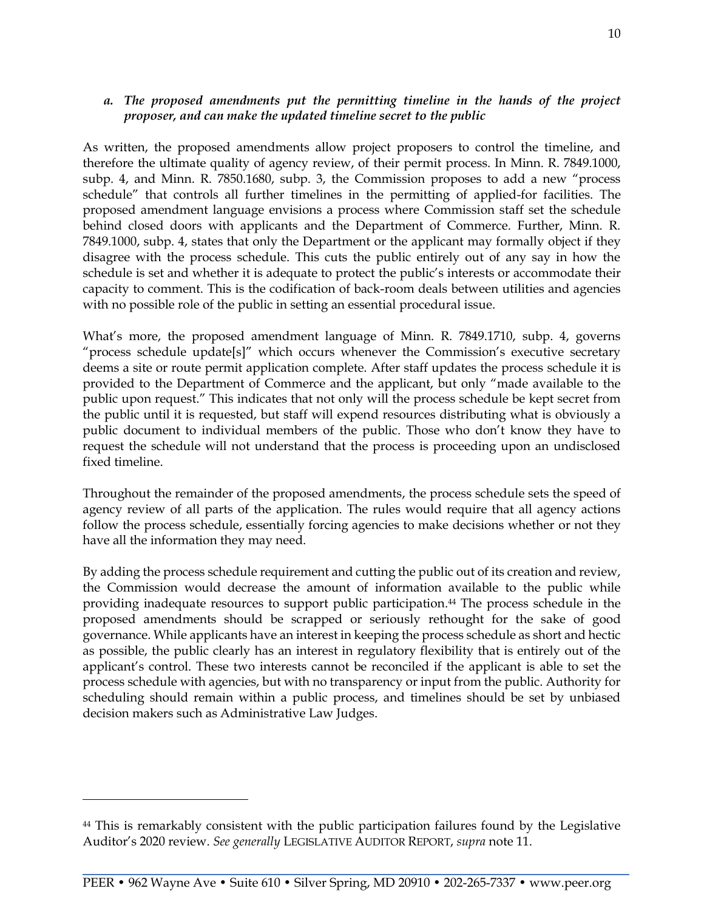#### *a. The proposed amendments put the permitting timeline in the hands of the project proposer, and can make the updated timeline secret to the public*

As written, the proposed amendments allow project proposers to control the timeline, and therefore the ultimate quality of agency review, of their permit process. In Minn. R. 7849.1000, subp. 4, and Minn. R. 7850.1680, subp. 3, the Commission proposes to add a new "process schedule" that controls all further timelines in the permitting of applied-for facilities. The proposed amendment language envisions a process where Commission staff set the schedule behind closed doors with applicants and the Department of Commerce. Further, Minn. R. 7849.1000, subp. 4, states that only the Department or the applicant may formally object if they disagree with the process schedule. This cuts the public entirely out of any say in how the schedule is set and whether it is adequate to protect the public's interests or accommodate their capacity to comment. This is the codification of back-room deals between utilities and agencies with no possible role of the public in setting an essential procedural issue.

What's more, the proposed amendment language of Minn. R. 7849.1710, subp. 4, governs "process schedule update[s]" which occurs whenever the Commission's executive secretary deems a site or route permit application complete. After staff updates the process schedule it is provided to the Department of Commerce and the applicant, but only "made available to the public upon request." This indicates that not only will the process schedule be kept secret from the public until it is requested, but staff will expend resources distributing what is obviously a public document to individual members of the public. Those who don't know they have to request the schedule will not understand that the process is proceeding upon an undisclosed fixed timeline.

Throughout the remainder of the proposed amendments, the process schedule sets the speed of agency review of all parts of the application. The rules would require that all agency actions follow the process schedule, essentially forcing agencies to make decisions whether or not they have all the information they may need.

By adding the process schedule requirement and cutting the public out of its creation and review, the Commission would decrease the amount of information available to the public while providing inadequate resources to support public participation.<sup>44</sup> The process schedule in the proposed amendments should be scrapped or seriously rethought for the sake of good governance. While applicants have an interest in keeping the process schedule as short and hectic as possible, the public clearly has an interest in regulatory flexibility that is entirely out of the applicant's control. These two interests cannot be reconciled if the applicant is able to set the process schedule with agencies, but with no transparency or input from the public. Authority for scheduling should remain within a public process, and timelines should be set by unbiased decision makers such as Administrative Law Judges.

<sup>44</sup> This is remarkably consistent with the public participation failures found by the Legislative Auditor's 2020 review. *See generally* LEGISLATIVE AUDITOR REPORT, *supra* note 11.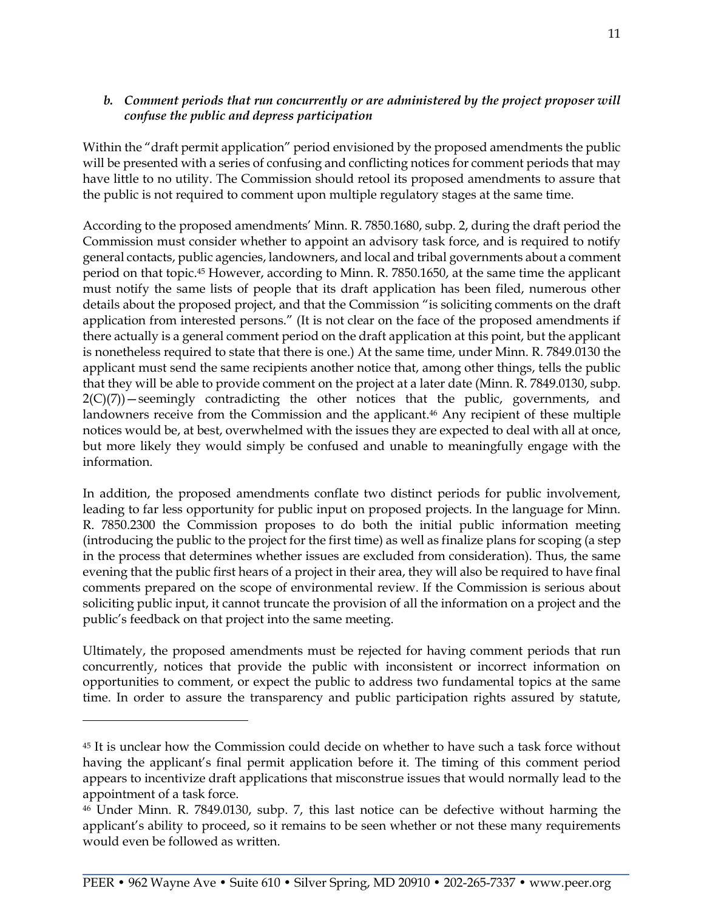### *b. Comment periods that run concurrently or are administered by the project proposer will confuse the public and depress participation*

Within the "draft permit application" period envisioned by the proposed amendments the public will be presented with a series of confusing and conflicting notices for comment periods that may have little to no utility. The Commission should retool its proposed amendments to assure that the public is not required to comment upon multiple regulatory stages at the same time.

According to the proposed amendments' Minn. R. 7850.1680, subp. 2, during the draft period the Commission must consider whether to appoint an advisory task force, and is required to notify general contacts, public agencies, landowners, and local and tribal governments about a comment period on that topic.<sup>45</sup> However, according to Minn. R. 7850.1650, at the same time the applicant must notify the same lists of people that its draft application has been filed, numerous other details about the proposed project, and that the Commission "is soliciting comments on the draft application from interested persons." (It is not clear on the face of the proposed amendments if there actually is a general comment period on the draft application at this point, but the applicant is nonetheless required to state that there is one.) At the same time, under Minn. R. 7849.0130 the applicant must send the same recipients another notice that, among other things, tells the public that they will be able to provide comment on the project at a later date (Minn. R. 7849.0130, subp.  $2(C)(7)$ ) – seemingly contradicting the other notices that the public, governments, and landowners receive from the Commission and the applicant.<sup>46</sup> Any recipient of these multiple notices would be, at best, overwhelmed with the issues they are expected to deal with all at once, but more likely they would simply be confused and unable to meaningfully engage with the information.

In addition, the proposed amendments conflate two distinct periods for public involvement, leading to far less opportunity for public input on proposed projects. In the language for Minn. R. 7850.2300 the Commission proposes to do both the initial public information meeting (introducing the public to the project for the first time) as well as finalize plans for scoping (a step in the process that determines whether issues are excluded from consideration). Thus, the same evening that the public first hears of a project in their area, they will also be required to have final comments prepared on the scope of environmental review. If the Commission is serious about soliciting public input, it cannot truncate the provision of all the information on a project and the public's feedback on that project into the same meeting.

Ultimately, the proposed amendments must be rejected for having comment periods that run concurrently, notices that provide the public with inconsistent or incorrect information on opportunities to comment, or expect the public to address two fundamental topics at the same time. In order to assure the transparency and public participation rights assured by statute,

<sup>45</sup> It is unclear how the Commission could decide on whether to have such a task force without having the applicant's final permit application before it. The timing of this comment period appears to incentivize draft applications that misconstrue issues that would normally lead to the appointment of a task force.

<sup>46</sup> Under Minn. R. 7849.0130, subp. 7, this last notice can be defective without harming the applicant's ability to proceed, so it remains to be seen whether or not these many requirements would even be followed as written.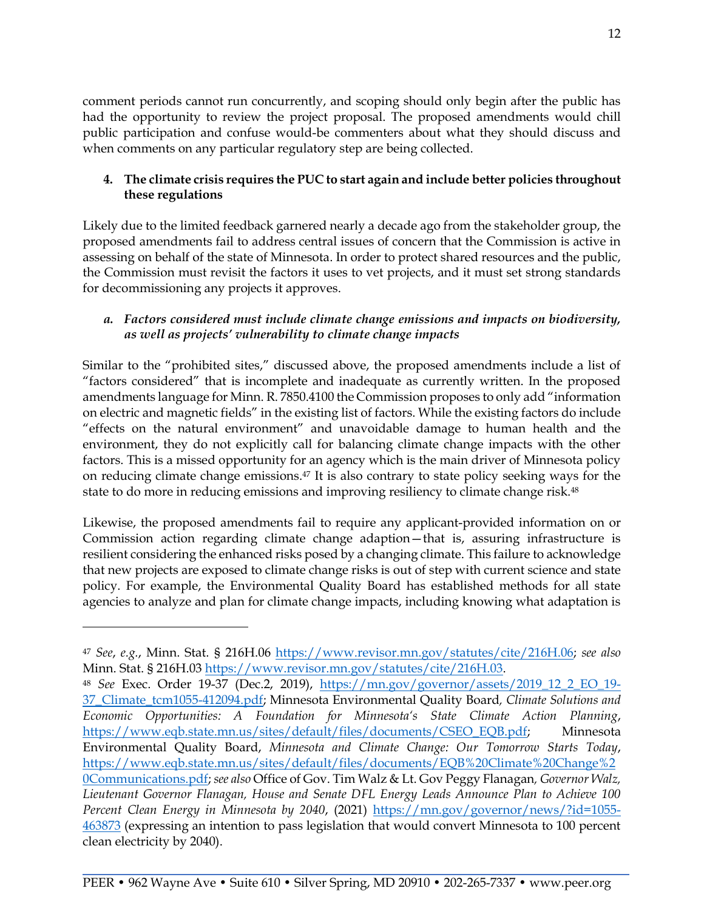comment periods cannot run concurrently, and scoping should only begin after the public has had the opportunity to review the project proposal. The proposed amendments would chill public participation and confuse would-be commenters about what they should discuss and when comments on any particular regulatory step are being collected.

# **4. The climate crisis requires the PUC to start again and include better policies throughout these regulations**

Likely due to the limited feedback garnered nearly a decade ago from the stakeholder group, the proposed amendments fail to address central issues of concern that the Commission is active in assessing on behalf of the state of Minnesota. In order to protect shared resources and the public, the Commission must revisit the factors it uses to vet projects, and it must set strong standards for decommissioning any projects it approves.

### *a. Factors considered must include climate change emissions and impacts on biodiversity, as well as projects' vulnerability to climate change impacts*

Similar to the "prohibited sites," discussed above, the proposed amendments include a list of "factors considered" that is incomplete and inadequate as currently written. In the proposed amendments language for Minn. R. 7850.4100 the Commission proposes to only add "information on electric and magnetic fields" in the existing list of factors. While the existing factors do include "effects on the natural environment" and unavoidable damage to human health and the environment, they do not explicitly call for balancing climate change impacts with the other factors. This is a missed opportunity for an agency which is the main driver of Minnesota policy on reducing climate change emissions.<sup>47</sup> It is also contrary to state policy seeking ways for the state to do more in reducing emissions and improving resiliency to climate change risk.<sup>48</sup>

Likewise, the proposed amendments fail to require any applicant-provided information on or Commission action regarding climate change adaption—that is, assuring infrastructure is resilient considering the enhanced risks posed by a changing climate. This failure to acknowledge that new projects are exposed to climate change risks is out of step with current science and state policy. For example, the Environmental Quality Board has established methods for all state agencies to analyze and plan for climate change impacts, including knowing what adaptation is

<sup>47</sup> *See*, *e.g.*, Minn. Stat. § 216H.06 [https://www.revisor.mn.gov/statutes/cite/216H.06;](https://www.revisor.mn.gov/statutes/cite/216H.06) *see also* Minn. Stat. § 216H.03 [https://www.revisor.mn.gov/statutes/cite/216H.03.](https://www.revisor.mn.gov/statutes/cite/216H.03)

<sup>48</sup> *See* Exec. Order 19-37 (Dec.2, 2019), [https://mn.gov/governor/assets/2019\\_12\\_2\\_EO\\_19-](https://mn.gov/governor/assets/2019_12_2_EO_19-37_Climate_tcm1055-412094.pdf) [37\\_Climate\\_tcm1055-412094.pdf;](https://mn.gov/governor/assets/2019_12_2_EO_19-37_Climate_tcm1055-412094.pdf) Minnesota Environmental Quality Board*, Climate Solutions and Economic Opportunities: A Foundation for Minnesota's State Climate Action Planning*, [https://www.eqb.state.mn.us/sites/default/files/documents/CSEO\\_EQB.pdf;](https://www.eqb.state.mn.us/sites/default/files/documents/CSEO_EQB.pdf) Minnesota Environmental Quality Board, *Minnesota and Climate Change: Our Tomorrow Starts Today*, [https://www.eqb.state.mn.us/sites/default/files/documents/EQB%20Climate%20Change%2](https://www.eqb.state.mn.us/sites/default/files/documents/EQB%20Climate%20Change%20Communications.pdf) [0Communications.pdf;](https://www.eqb.state.mn.us/sites/default/files/documents/EQB%20Climate%20Change%20Communications.pdf) *see also* Office of Gov. Tim Walz & Lt. Gov Peggy Flanagan*, Governor Walz, Lieutenant Governor Flanagan, House and Senate DFL Energy Leads Announce Plan to Achieve 100 Percent Clean Energy in Minnesota by 2040*, (2021) [https://mn.gov/governor/news/?id=1055-](https://mn.gov/governor/news/?id=1055-463873) [463873](https://mn.gov/governor/news/?id=1055-463873) (expressing an intention to pass legislation that would convert Minnesota to 100 percent clean electricity by 2040).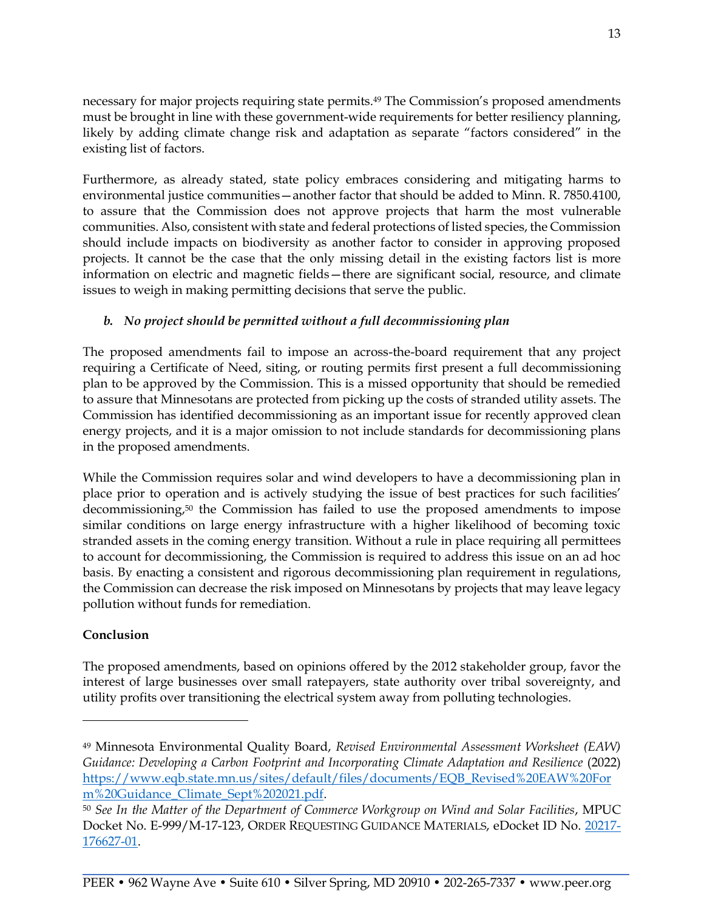necessary for major projects requiring state permits.<sup>49</sup> The Commission's proposed amendments must be brought in line with these government-wide requirements for better resiliency planning, likely by adding climate change risk and adaptation as separate "factors considered" in the existing list of factors.

Furthermore, as already stated, state policy embraces considering and mitigating harms to environmental justice communities—another factor that should be added to Minn. R. 7850.4100, to assure that the Commission does not approve projects that harm the most vulnerable communities. Also, consistent with state and federal protections of listed species, the Commission should include impacts on biodiversity as another factor to consider in approving proposed projects. It cannot be the case that the only missing detail in the existing factors list is more information on electric and magnetic fields—there are significant social, resource, and climate issues to weigh in making permitting decisions that serve the public.

# *b. No project should be permitted without a full decommissioning plan*

The proposed amendments fail to impose an across-the-board requirement that any project requiring a Certificate of Need, siting, or routing permits first present a full decommissioning plan to be approved by the Commission. This is a missed opportunity that should be remedied to assure that Minnesotans are protected from picking up the costs of stranded utility assets. The Commission has identified decommissioning as an important issue for recently approved clean energy projects, and it is a major omission to not include standards for decommissioning plans in the proposed amendments.

While the Commission requires solar and wind developers to have a decommissioning plan in place prior to operation and is actively studying the issue of best practices for such facilities' decommissioning,<sup>50</sup> the Commission has failed to use the proposed amendments to impose similar conditions on large energy infrastructure with a higher likelihood of becoming toxic stranded assets in the coming energy transition. Without a rule in place requiring all permittees to account for decommissioning, the Commission is required to address this issue on an ad hoc basis. By enacting a consistent and rigorous decommissioning plan requirement in regulations, the Commission can decrease the risk imposed on Minnesotans by projects that may leave legacy pollution without funds for remediation.

# **Conclusion**

The proposed amendments, based on opinions offered by the 2012 stakeholder group, favor the interest of large businesses over small ratepayers, state authority over tribal sovereignty, and utility profits over transitioning the electrical system away from polluting technologies.

<sup>49</sup> Minnesota Environmental Quality Board, *Revised Environmental Assessment Worksheet (EAW) Guidance: Developing a Carbon Footprint and Incorporating Climate Adaptation and Resilience* (2022) [https://www.eqb.state.mn.us/sites/default/files/documents/EQB\\_Revised%20EAW%20For](https://www.eqb.state.mn.us/sites/default/files/documents/EQB_Revised%20EAW%20Form%20Guidance_Climate_Sept%202021.pdf) [m%20Guidance\\_Climate\\_Sept%202021.pdf.](https://www.eqb.state.mn.us/sites/default/files/documents/EQB_Revised%20EAW%20Form%20Guidance_Climate_Sept%202021.pdf)

<sup>50</sup> *See In the Matter of the Department of Commerce Workgroup on Wind and Solar Facilities*, MPUC Docket No. E-999/M-17-123, ORDER REQUESTING GUIDANCE MATERIALS, eDocket ID No. 20217- 176627-01.